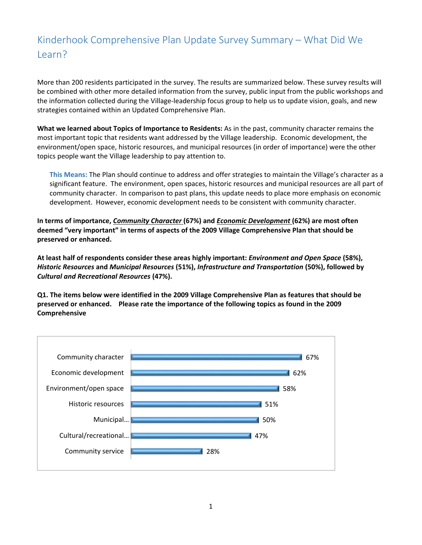## Kinderhook Comprehensive Plan Update Survey Summary – What Did We Learn?

More than 200 residents participated in the survey. The results are summarized below. These survey results will be combined with other more detailed information from the survey, public input from the public workshops and the information collected during the Village-leadership focus group to help us to update vision, goals, and new strategies contained within an Updated Comprehensive Plan.

**What we learned about Topics of Importance to Residents:** As in the past, community character remains the most important topic that residents want addressed by the Village leadership. Economic development, the environment/open space, historic resources, and municipal resources (in order of importance) were the other topics people want the Village leadership to pay attention to.

**This Means:** The Plan should continue to address and offer strategies to maintain the Village's character as a significant feature. The environment, open spaces, historic resources and municipal resources are all part of community character. In comparison to past plans, this update needs to place more emphasis on economic development. However, economic development needs to be consistent with community character.

**In terms of importance,** *Community Character* **(67%) and** *Economic Development* **(62%) are most often deemed "very important" in terms of aspects of the 2009 Village Comprehensive Plan that should be preserved or enhanced.** 

**At least half of respondents consider these areas highly important:** *Environment and Open Space* **(58%),**  *Historic Resources* **and** *Municipal Resources* **(51%),** *Infrastructure and Transportation* **(50%), followed by**  *Cultural and Recreational Resources* **(47%).** 

**Q1. The items below were identified in the 2009 Village Comprehensive Plan as features that should be preserved or enhanced. Please rate the importance of the following topics as found in the 2009 Comprehensive**

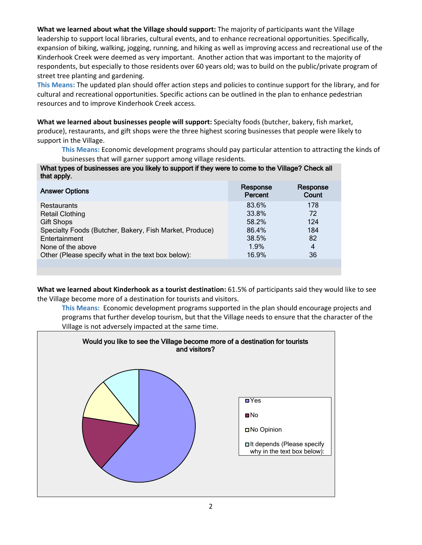**What we learned about what the Village should support:** The majority of participants want the Village leadership to support local libraries, cultural events, and to enhance recreational opportunities. Specifically, expansion of biking, walking, jogging, running, and hiking as well as improving access and recreational use of the Kinderhook Creek were deemed as very important. Another action that was important to the majority of respondents, but especially to those residents over 60 years old; was to build on the public/private program of street tree planting and gardening.

**This Means:** The updated plan should offer action steps and policies to continue support for the library, and for cultural and recreational opportunities. Specific actions can be outlined in the plan to enhance pedestrian resources and to improve Kinderhook Creek access.

**What we learned about businesses people will support:** Specialty foods (butcher, bakery, fish market, produce), restaurants, and gift shops were the three highest scoring businesses that people were likely to support in the Village.

**This Means:** Economic development programs should pay particular attention to attracting the kinds of businesses that will garner support among village residents.

What types of businesses are you likely to support if they were to come to the Village? Check all that apply.

| <b>Answer Options</b>                                   | Response<br>Percent | Response<br>Count |
|---------------------------------------------------------|---------------------|-------------------|
| <b>Restaurants</b>                                      | 83.6%               | 178               |
| <b>Retail Clothing</b>                                  | 33.8%               | 72                |
| <b>Gift Shops</b>                                       | 58.2%               | 124               |
| Specialty Foods (Butcher, Bakery, Fish Market, Produce) | 86.4%               | 184               |
| Entertainment                                           | 38.5%               | 82                |
| None of the above                                       | 1.9%                | $\overline{4}$    |
| Other (Please specify what in the text box below):      | 16.9%               | 36                |
|                                                         |                     |                   |

**What we learned about Kinderhook as a tourist destination:** 61.5% of participants said they would like to see the Village become more of a destination for tourists and visitors.

**This Means:** Economic development programs supported in the plan should encourage projects and programs that further develop tourism, but that the Village needs to ensure that the character of the Village is not adversely impacted at the same time.

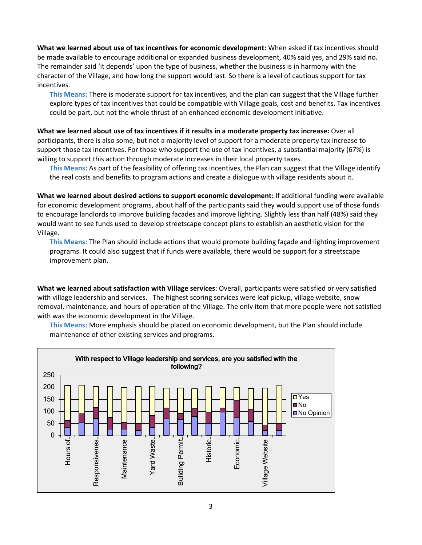**What we learned about use of tax incentives for economic development:** When asked if tax incentives should be made available to encourage additional or expanded business development, 40% said yes, and 29% said no. The remainder said 'it depends' upon the type of business, whether the business is in harmony with the character of the Village, and how long the support would last. So there is a level of cautious support for tax incentives.

**This Means:** There is moderate support for tax incentives, and the plan can suggest that the Village further explore types of tax incentives that could be compatible with Village goals, cost and benefits. Tax incentives could be part, but not the whole thrust of an enhanced economic development initiative.

**What we learned about use of tax incentives if it results in a moderate property tax increase:** Over all participants, there is also some, but not a majority level of support for a moderate property tax increase to support those tax incentives**.** For those who support the use of tax incentives, a substantial majority (67%) is willing to support this action through moderate increases in their local property taxes.

**This Means:** As part of the feasibility of offering tax incentives, the Plan can suggest that the Village identify the real costs and benefits to program actions and create a dialogue with village residents about it.

**What we learned about desired actions to support economic development:** If additional funding were available for economic development programs, about half of the participants said they would support use of those funds to encourage landlords to improve building facades and improve lighting. Slightly less than half (48%) said they would want to see funds used to develop streetscape concept plans to establish an aesthetic vision for the Village.

**This Means:** The Plan should include actions that would promote building façade and lighting improvement programs. It could also suggest that if funds were available, there would be support for a streetscape improvement plan.

**What we learned about satisfaction with Village services**: Overall, participants were satisfied or very satisfied with village leadership and services. The highest scoring services were leaf pickup, village website, snow removal, maintenance, and hours of operation of the Village. The only item that more people were not satisfied with was the economic development in the Village.



**This Means:** More emphasis should be placed on economic development, but the Plan should include maintenance of other existing services and programs.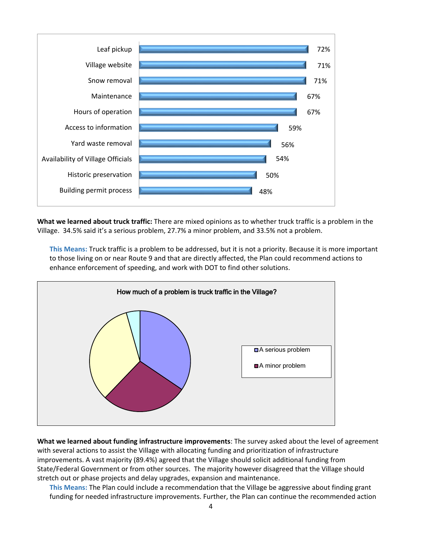

**What we learned about truck traffic:** There are mixed opinions as to whether truck traffic is a problem in the Village. 34.5% said it's a serious problem, 27.7% a minor problem, and 33.5% not a problem.

**This Means:** Truck traffic is a problem to be addressed, but it is not a priority. Because it is more important to those living on or near Route 9 and that are directly affected, the Plan could recommend actions to enhance enforcement of speeding, and work with DOT to find other solutions.



**What we learned about funding infrastructure improvements**: The survey asked about the level of agreement with several actions to assist the Village with allocating funding and prioritization of infrastructure improvements. A vast majority (89.4%) agreed that the Village should solicit additional funding from State/Federal Government or from other sources. The majority however disagreed that the Village should stretch out or phase projects and delay upgrades, expansion and maintenance.

**This Means:** The Plan could include a recommendation that the Village be aggressive about finding grant funding for needed infrastructure improvements. Further, the Plan can continue the recommended action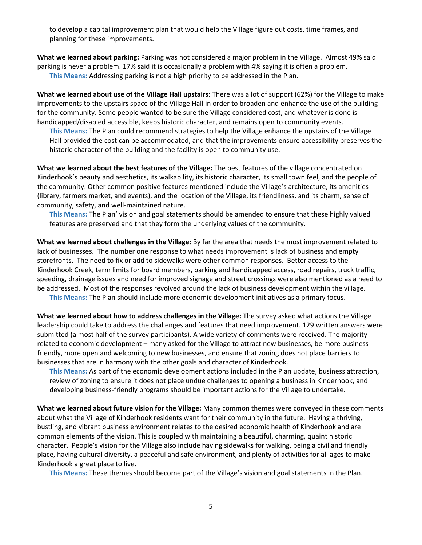to develop a capital improvement plan that would help the Village figure out costs, time frames, and planning for these improvements.

**What we learned about parking:** Parking was not considered a major problem in the Village. Almost 49% said parking is never a problem. 17% said it is occasionally a problem with 4% saying it is often a problem. **This Means:** Addressing parking is not a high priority to be addressed in the Plan.

**What we learned about use of the Village Hall upstairs:** There was a lot of support (62%) for the Village to make improvements to the upstairs space of the Village Hall in order to broaden and enhance the use of the building for the community. Some people wanted to be sure the Village considered cost, and whatever is done is handicapped/disabled accessible, keeps historic character, and remains open to community events.

**This Means:** The Plan could recommend strategies to help the Village enhance the upstairs of the Village Hall provided the cost can be accommodated, and that the improvements ensure accessibility preserves the historic character of the building and the facility is open to community use.

**What we learned about the best features of the Village:** The best features of the village concentrated on Kinderhook's beauty and aesthetics, its walkability, its historic character, its small town feel, and the people of the community. Other common positive features mentioned include the Village's architecture, its amenities (library, farmers market, and events), and the location of the Village, its friendliness, and its charm, sense of community, safety, and well-maintained nature.

**This Means:** The Plan' vision and goal statements should be amended to ensure that these highly valued features are preserved and that they form the underlying values of the community.

**What we learned about challenges in the Village:** By far the area that needs the most improvement related to lack of businesses. The number one response to what needs improvement is lack of business and empty storefronts. The need to fix or add to sidewalks were other common responses. Better access to the Kinderhook Creek, term limits for board members, parking and handicapped access, road repairs, truck traffic, speeding, drainage issues and need for improved signage and street crossings were also mentioned as a need to be addressed. Most of the responses revolved around the lack of business development within the village.

**This Means:** The Plan should include more economic development initiatives as a primary focus.

**What we learned about how to address challenges in the Village:** The survey asked what actions the Village leadership could take to address the challenges and features that need improvement. 129 written answers were submitted (almost half of the survey participants). A wide variety of comments were received. The majority related to economic development – many asked for the Village to attract new businesses, be more businessfriendly, more open and welcoming to new businesses, and ensure that zoning does not place barriers to businesses that are in harmony with the other goals and character of Kinderhook.

**This Means:** As part of the economic development actions included in the Plan update, business attraction, review of zoning to ensure it does not place undue challenges to opening a business in Kinderhook, and developing business-friendly programs should be important actions for the Village to undertake.

**What we learned about future vision for the Village:** Many common themes were conveyed in these comments about what the Village of Kinderhook residents want for their community in the future. Having a thriving, bustling, and vibrant business environment relates to the desired economic health of Kinderhook and are common elements of the vision. This is coupled with maintaining a beautiful, charming, quaint historic character. People's vision for the Village also include having sidewalks for walking, being a civil and friendly place, having cultural diversity, a peaceful and safe environment, and plenty of activities for all ages to make Kinderhook a great place to live.

**This Means:** These themes should become part of the Village's vision and goal statements in the Plan.